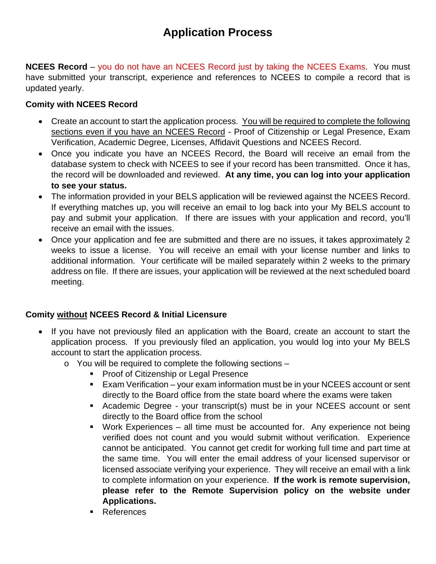# **Application Process**

**NCEES Record** – you do not have an NCEES Record just by taking the NCEES Exams. You must have submitted your transcript, experience and references to NCEES to compile a record that is updated yearly.

## **Comity with NCEES Record**

- Create an account to start the application process. You will be required to complete the following sections even if you have an NCEES Record - Proof of Citizenship or Legal Presence, Exam Verification, Academic Degree, Licenses, Affidavit Questions and NCEES Record.
- Once you indicate you have an NCEES Record, the Board will receive an email from the database system to check with NCEES to see if your record has been transmitted. Once it has, the record will be downloaded and reviewed. **At any time, you can log into your application to see your status.**
- The information provided in your BELS application will be reviewed against the NCEES Record. If everything matches up, you will receive an email to log back into your My BELS account to pay and submit your application. If there are issues with your application and record, you'll receive an email with the issues.
- Once your application and fee are submitted and there are no issues, it takes approximately 2 weeks to issue a license. You will receive an email with your license number and links to additional information. Your certificate will be mailed separately within 2 weeks to the primary address on file. If there are issues, your application will be reviewed at the next scheduled board meeting.

## **Comity without NCEES Record & Initial Licensure**

- If you have not previously filed an application with the Board, create an account to start the application process. If you previously filed an application, you would log into your My BELS account to start the application process.
	- o You will be required to complete the following sections
		- **Proof of Citizenship or Legal Presence**
		- Exam Verification your exam information must be in your NCEES account or sent directly to the Board office from the state board where the exams were taken
		- Academic Degree your transcript(s) must be in your NCEES account or sent directly to the Board office from the school
		- Work Experiences all time must be accounted for. Any experience not being verified does not count and you would submit without verification. Experience cannot be anticipated. You cannot get credit for working full time and part time at the same time. You will enter the email address of your licensed supervisor or licensed associate verifying your experience. They will receive an email with a link to complete information on your experience. **If the work is remote supervision, please refer to the Remote Supervision policy on the website under Applications.**
		- **References**